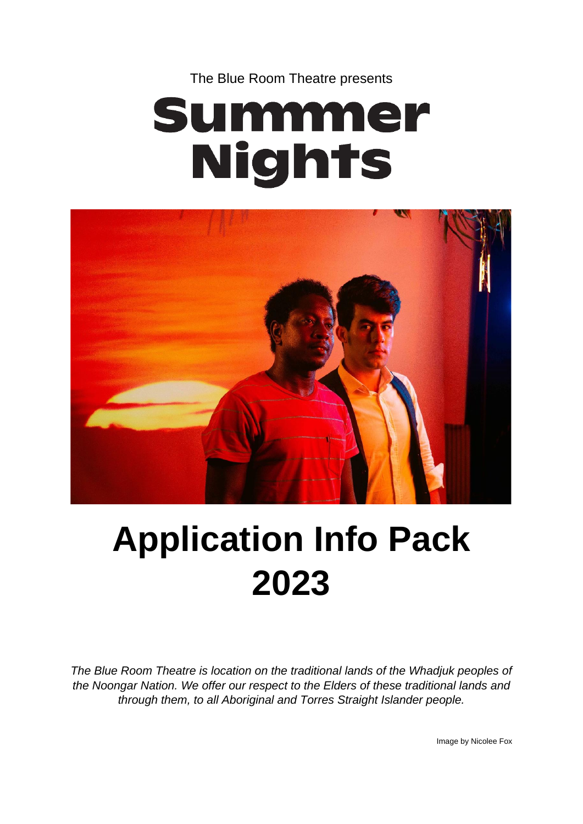The Blue Room Theatre presents

# Summer **Nights**



## **Application Info Pack 2023**

*The Blue Room Theatre is location on the traditional lands of the Whadjuk peoples of the Noongar Nation. We offer our respect to the Elders of these traditional lands and through them, to all Aboriginal and Torres Straight Islander people.*

Image by Nicolee Fox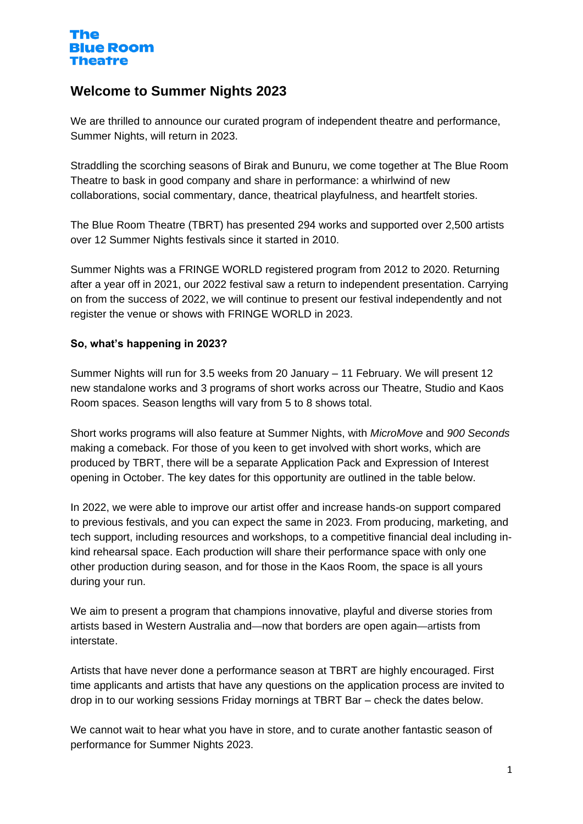## **Welcome to Summer Nights 2023**

We are thrilled to announce our curated program of independent theatre and performance, Summer Nights, will return in 2023.

Straddling the scorching seasons of Birak and Bunuru, we come together at The Blue Room Theatre to bask in good company and share in performance: a whirlwind of new collaborations, social commentary, dance, theatrical playfulness, and heartfelt stories.

The Blue Room Theatre (TBRT) has presented 294 works and supported over 2,500 artists over 12 Summer Nights festivals since it started in 2010.

Summer Nights was a FRINGE WORLD registered program from 2012 to 2020. Returning after a year off in 2021, our 2022 festival saw a return to independent presentation. Carrying on from the success of 2022, we will continue to present our festival independently and not register the venue or shows with FRINGE WORLD in 2023.

## **So, what's happening in 2023?**

Summer Nights will run for 3.5 weeks from 20 January – 11 February. We will present 12 new standalone works and 3 programs of short works across our Theatre, Studio and Kaos Room spaces. Season lengths will vary from 5 to 8 shows total.

Short works programs will also feature at Summer Nights, with *MicroMove* and *900 Seconds* making a comeback. For those of you keen to get involved with short works, which are produced by TBRT, there will be a separate Application Pack and Expression of Interest opening in October. The key dates for this opportunity are outlined in the table below.

In 2022, we were able to improve our artist offer and increase hands-on support compared to previous festivals, and you can expect the same in 2023. From producing, marketing, and tech support, including resources and workshops, to a competitive financial deal including inkind rehearsal space. Each production will share their performance space with only one other production during season, and for those in the Kaos Room, the space is all yours during your run.

We aim to present a program that champions innovative, playful and diverse stories from artists based in Western Australia and—now that borders are open again—artists from interstate.

Artists that have never done a performance season at TBRT are highly encouraged. First time applicants and artists that have any questions on the application process are invited to drop in to our working sessions Friday mornings at TBRT Bar – check the dates below.

We cannot wait to hear what you have in store, and to curate another fantastic season of performance for Summer Nights 2023.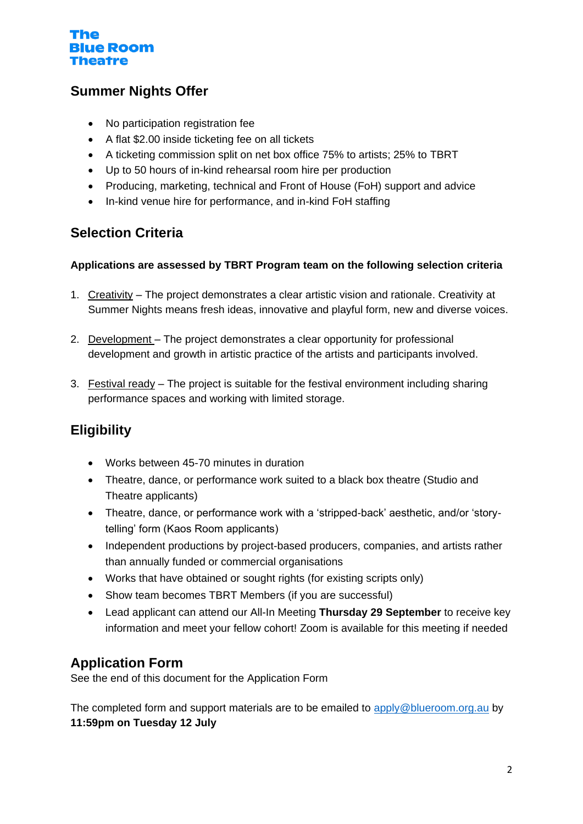## **Summer Nights Offer**

- No participation registration fee
- A flat \$2.00 inside ticketing fee on all tickets
- A ticketing commission split on net box office 75% to artists; 25% to TBRT
- Up to 50 hours of in-kind rehearsal room hire per production
- Producing, marketing, technical and Front of House (FoH) support and advice
- In-kind venue hire for performance, and in-kind FoH staffing

## **Selection Criteria**

## **Applications are assessed by TBRT Program team on the following selection criteria**

- 1. Creativity The project demonstrates a clear artistic vision and rationale. Creativity at Summer Nights means fresh ideas, innovative and playful form, new and diverse voices.
- 2. Development The project demonstrates a clear opportunity for professional development and growth in artistic practice of the artists and participants involved.
- 3. Festival ready The project is suitable for the festival environment including sharing performance spaces and working with limited storage.

## **Eligibility**

- Works between 45-70 minutes in duration
- Theatre, dance, or performance work suited to a black box theatre (Studio and Theatre applicants)
- Theatre, dance, or performance work with a 'stripped-back' aesthetic, and/or 'storytelling' form (Kaos Room applicants)
- Independent productions by project-based producers, companies, and artists rather than annually funded or commercial organisations
- Works that have obtained or sought rights (for existing scripts only)
- Show team becomes TBRT Members (if you are successful)
- Lead applicant can attend our All-In Meeting **Thursday 29 September** to receive key information and meet your fellow cohort! Zoom is available for this meeting if needed

## **Application Form**

See the end of this document for the Application Form

The completed form and support materials are to be emailed to [apply@blueroom.org.au](mailto:apply@blueroom.org.au) by **11:59pm on Tuesday 12 July**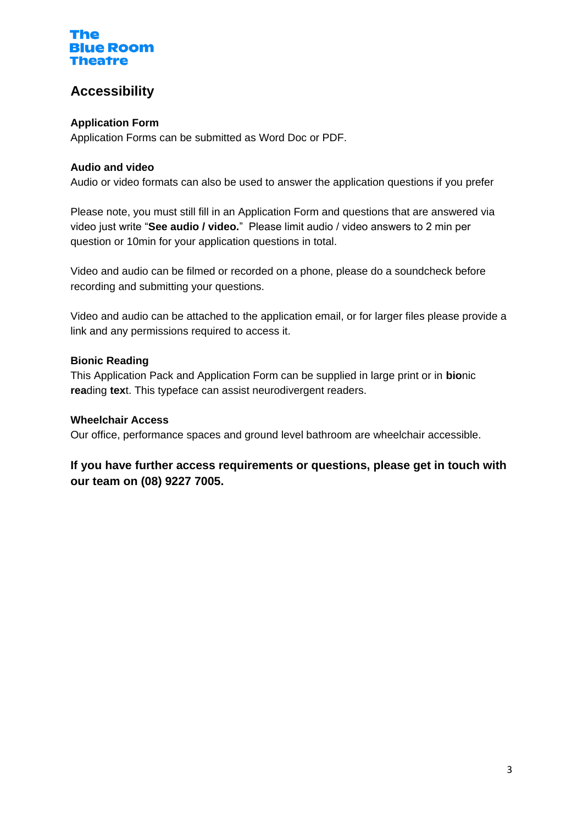## **Accessibility**

## **Application Form**

Application Forms can be submitted as Word Doc or PDF.

## **Audio and video**

Audio or video formats can also be used to answer the application questions if you prefer

Please note, you must still fill in an Application Form and questions that are answered via video just write "**See audio / video.**" Please limit audio / video answers to 2 min per question or 10min for your application questions in total.

Video and audio can be filmed or recorded on a phone, please do a soundcheck before recording and submitting your questions.

Video and audio can be attached to the application email, or for larger files please provide a link and any permissions required to access it.

## **Bionic Reading**

This Application Pack and Application Form can be supplied in large print or in **bio**nic **rea**ding **tex**t. This typeface can assist neurodivergent readers.

## **Wheelchair Access**

Our office, performance spaces and ground level bathroom are wheelchair accessible.

## **If you have further access requirements or questions, please get in touch with our team on (08) 9227 7005.**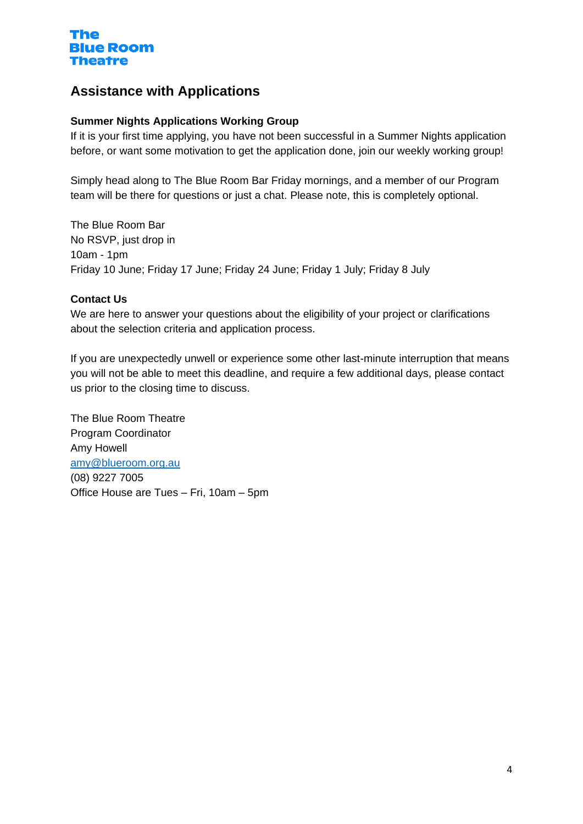## **Assistance with Applications**

#### **Summer Nights Applications Working Group**

If it is your first time applying, you have not been successful in a Summer Nights application before, or want some motivation to get the application done, join our weekly working group!

Simply head along to The Blue Room Bar Friday mornings, and a member of our Program team will be there for questions or just a chat. Please note, this is completely optional.

The Blue Room Bar No RSVP, just drop in 10am - 1pm Friday 10 June; Friday 17 June; Friday 24 June; Friday 1 July; Friday 8 July

#### **Contact Us**

We are here to answer your questions about the eligibility of your project or clarifications about the selection criteria and application process.

If you are unexpectedly unwell or experience some other last-minute interruption that means you will not be able to meet this deadline, and require a few additional days, please contact us prior to the closing time to discuss.

The Blue Room Theatre Program Coordinator Amy Howell [amy@blueroom.org.au](mailto:amy@blueroom.org.au) (08) 9227 7005 Office House are Tues – Fri, 10am – 5pm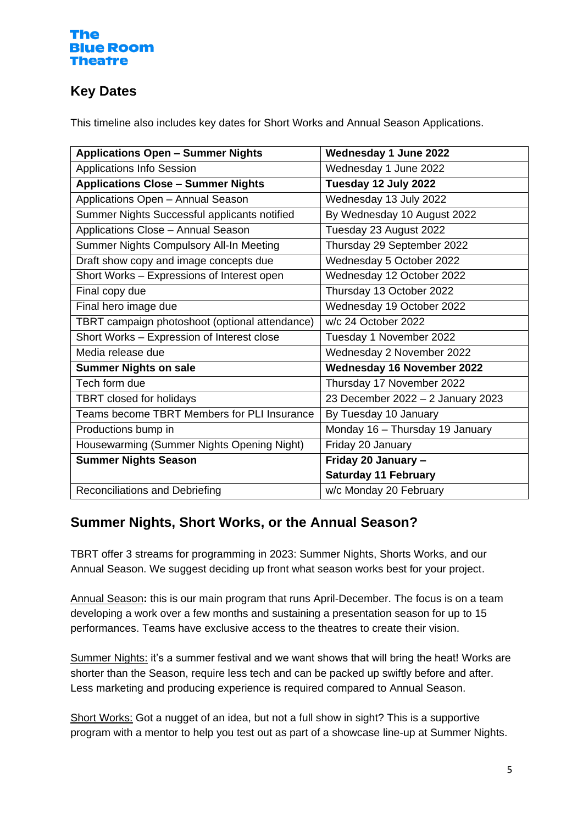## **Key Dates**

This timeline also includes key dates for Short Works and Annual Season Applications.

| <b>Applications Open - Summer Nights</b>       | <b>Wednesday 1 June 2022</b>      |
|------------------------------------------------|-----------------------------------|
| <b>Applications Info Session</b>               | Wednesday 1 June 2022             |
| <b>Applications Close - Summer Nights</b>      | Tuesday 12 July 2022              |
| Applications Open - Annual Season              | Wednesday 13 July 2022            |
| Summer Nights Successful applicants notified   | By Wednesday 10 August 2022       |
| Applications Close - Annual Season             | Tuesday 23 August 2022            |
| Summer Nights Compulsory All-In Meeting        | Thursday 29 September 2022        |
| Draft show copy and image concepts due         | Wednesday 5 October 2022          |
| Short Works - Expressions of Interest open     | Wednesday 12 October 2022         |
| Final copy due                                 | Thursday 13 October 2022          |
| Final hero image due                           | Wednesday 19 October 2022         |
| TBRT campaign photoshoot (optional attendance) | w/c 24 October 2022               |
| Short Works - Expression of Interest close     | Tuesday 1 November 2022           |
| Media release due                              | Wednesday 2 November 2022         |
| <b>Summer Nights on sale</b>                   | <b>Wednesday 16 November 2022</b> |
| Tech form due                                  | Thursday 17 November 2022         |
| <b>TBRT</b> closed for holidays                | 23 December 2022 - 2 January 2023 |
| Teams become TBRT Members for PLI Insurance    | By Tuesday 10 January             |
| Productions bump in                            | Monday 16 - Thursday 19 January   |
| Housewarming (Summer Nights Opening Night)     | Friday 20 January                 |
| <b>Summer Nights Season</b>                    | Friday 20 January -               |
|                                                | <b>Saturday 11 February</b>       |
| Reconciliations and Debriefing                 | w/c Monday 20 February            |

## **Summer Nights, Short Works, or the Annual Season?**

TBRT offer 3 streams for programming in 2023: Summer Nights, Shorts Works, and our Annual Season. We suggest deciding up front what season works best for your project.

Annual Season**:** this is our main program that runs April-December. The focus is on a team developing a work over a few months and sustaining a presentation season for up to 15 performances. Teams have exclusive access to the theatres to create their vision.

Summer Nights: it's a summer festival and we want shows that will bring the heat! Works are shorter than the Season, require less tech and can be packed up swiftly before and after. Less marketing and producing experience is required compared to Annual Season.

Short Works: Got a nugget of an idea, but not a full show in sight? This is a supportive program with a mentor to help you test out as part of a showcase line-up at Summer Nights.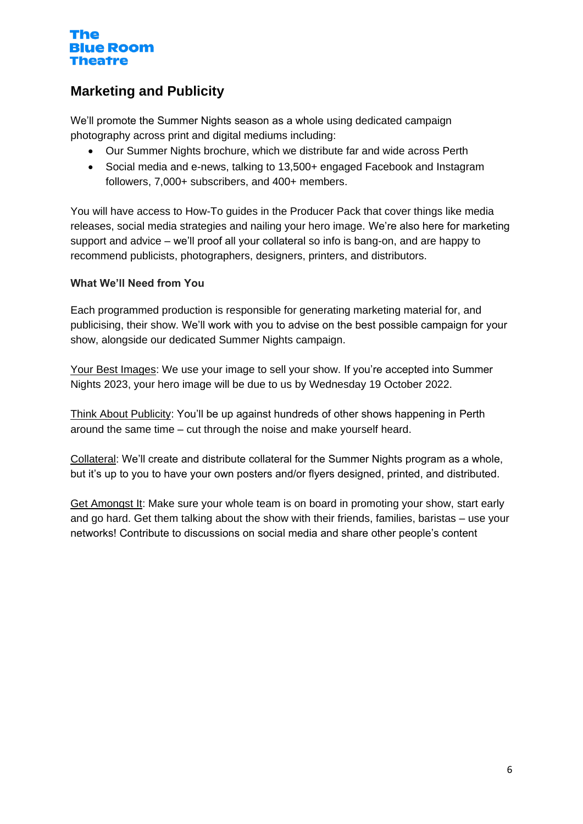## **Marketing and Publicity**

We'll promote the Summer Nights season as a whole using dedicated campaign photography across print and digital mediums including:

- Our Summer Nights brochure, which we distribute far and wide across Perth
- Social media and e-news, talking to 13,500+ engaged Facebook and Instagram followers, 7,000+ subscribers, and 400+ members.

You will have access to How-To guides in the Producer Pack that cover things like media releases, social media strategies and nailing your hero image. We're also here for marketing support and advice – we'll proof all your collateral so info is bang-on, and are happy to recommend publicists, photographers, designers, printers, and distributors.

## **What We'll Need from You**

Each programmed production is responsible for generating marketing material for, and publicising, their show. We'll work with you to advise on the best possible campaign for your show, alongside our dedicated Summer Nights campaign.

Your Best Images: We use your image to sell your show. If you're accepted into Summer Nights 2023, your hero image will be due to us by Wednesday 19 October 2022.

Think About Publicity: You'll be up against hundreds of other shows happening in Perth around the same time – cut through the noise and make yourself heard.

Collateral: We'll create and distribute collateral for the Summer Nights program as a whole, but it's up to you to have your own posters and/or flyers designed, printed, and distributed.

Get Amongst It: Make sure your whole team is on board in promoting your show, start early and go hard. Get them talking about the show with their friends, families, baristas – use your networks! Contribute to discussions on social media and share other people's content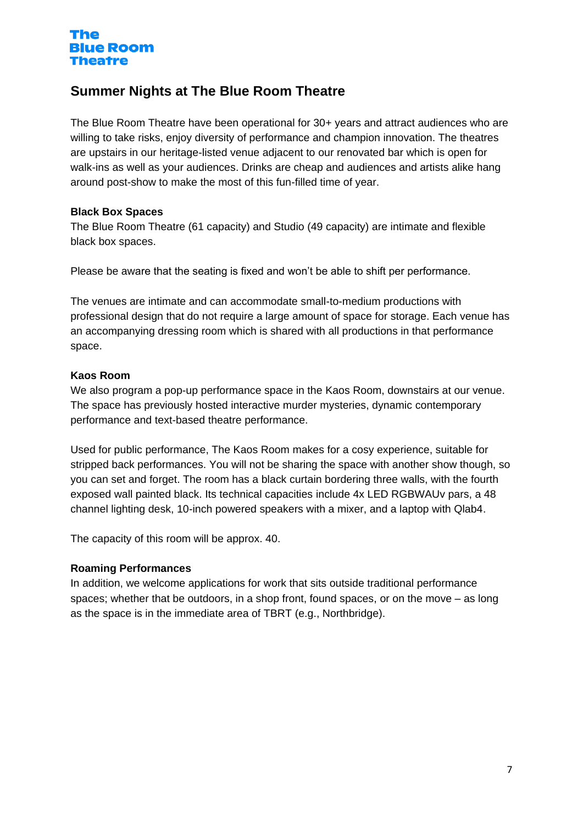## **Summer Nights at The Blue Room Theatre**

The Blue Room Theatre have been operational for 30+ years and attract audiences who are willing to take risks, enjoy diversity of performance and champion innovation. The theatres are upstairs in our heritage-listed venue adjacent to our renovated bar which is open for walk-ins as well as your audiences. Drinks are cheap and audiences and artists alike hang around post-show to make the most of this fun-filled time of year.

## **Black Box Spaces**

The Blue Room Theatre (61 capacity) and Studio (49 capacity) are intimate and flexible black box spaces.

Please be aware that the seating is fixed and won't be able to shift per performance.

The venues are intimate and can accommodate small-to-medium productions with professional design that do not require a large amount of space for storage. Each venue has an accompanying dressing room which is shared with all productions in that performance space.

## **Kaos Room**

We also program a pop-up performance space in the Kaos Room, downstairs at our venue. The space has previously hosted interactive murder mysteries, dynamic contemporary performance and text-based theatre performance.

Used for public performance, The Kaos Room makes for a cosy experience, suitable for stripped back performances. You will not be sharing the space with another show though, so you can set and forget. The room has a black curtain bordering three walls, with the fourth exposed wall painted black. Its technical capacities include 4x LED RGBWAUv pars, a 48 channel lighting desk, 10-inch powered speakers with a mixer, and a laptop with Qlab4.

The capacity of this room will be approx. 40.

## **Roaming Performances**

In addition, we welcome applications for work that sits outside traditional performance spaces; whether that be outdoors, in a shop front, found spaces, or on the move – as long as the space is in the immediate area of TBRT (e.g., Northbridge).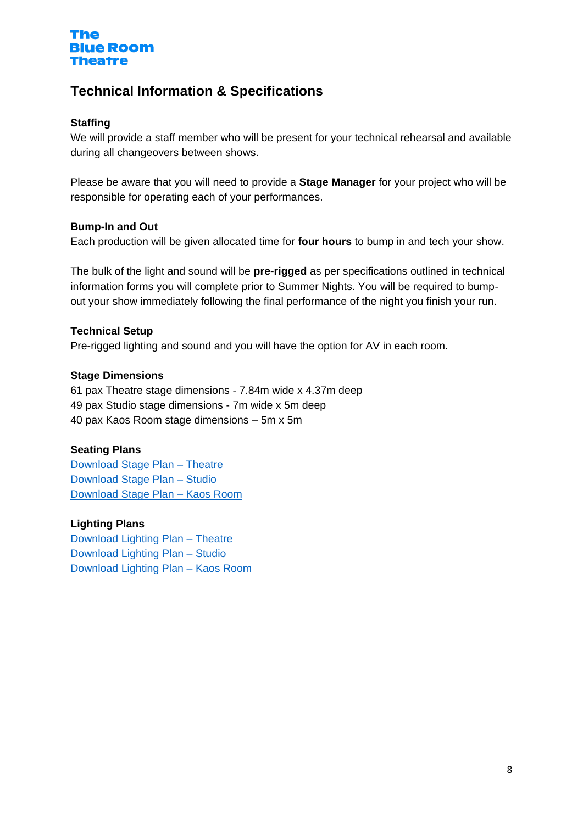

## **Technical Information & Specifications**

#### **Staffing**

We will provide a staff member who will be present for your technical rehearsal and available during all changeovers between shows.

Please be aware that you will need to provide a **Stage Manager** for your project who will be responsible for operating each of your performances.

#### **Bump-In and Out**

Each production will be given allocated time for **four hours** to bump in and tech your show.

The bulk of the light and sound will be **pre-rigged** as per specifications outlined in technical information forms you will complete prior to Summer Nights. You will be required to bumpout your show immediately following the final performance of the night you finish your run.

#### **Technical Setup**

Pre-rigged lighting and sound and you will have the option for AV in each room.

#### **Stage Dimensions**

61 pax Theatre stage dimensions - 7.84m wide x 4.37m deep 49 pax Studio stage dimensions - 7m wide x 5m deep 40 pax Kaos Room stage dimensions – 5m x 5m

#### **Seating Plans**

[Download Stage Plan –](https://blueroom.org.au/wp-content/uploads/Summer-Nights-2023-Theatre-Stage-Plan.pdf) Theatre [Download Stage Plan –](https://blueroom.org.au/wp-content/uploads/Summer-Nights-2023-Studio-Stage-Plan.pdf) Studio [Download Stage Plan](https://blueroom.org.au/wp-content/uploads/Summer-Nights-2023-KAOS-Room-Stage-Plan.pdf) – Kaos Room

## **Lighting Plans**

[Download Lighting Plan –](https://blueroom.org.au/wp-content/uploads/Summer-NIghts-2023-Lx-plan-Theatre.jpg) Theatre [Download Lighting Plan –](https://blueroom.org.au/wp-content/uploads/Summer-NIghts-2023-Lx-plan-Studio.jpg) Studio [Download Lighting Plan –](https://blueroom.org.au/wp-content/uploads/Summer-NIghts-2023-Lx-plan-Kaos.jpg) Kaos Room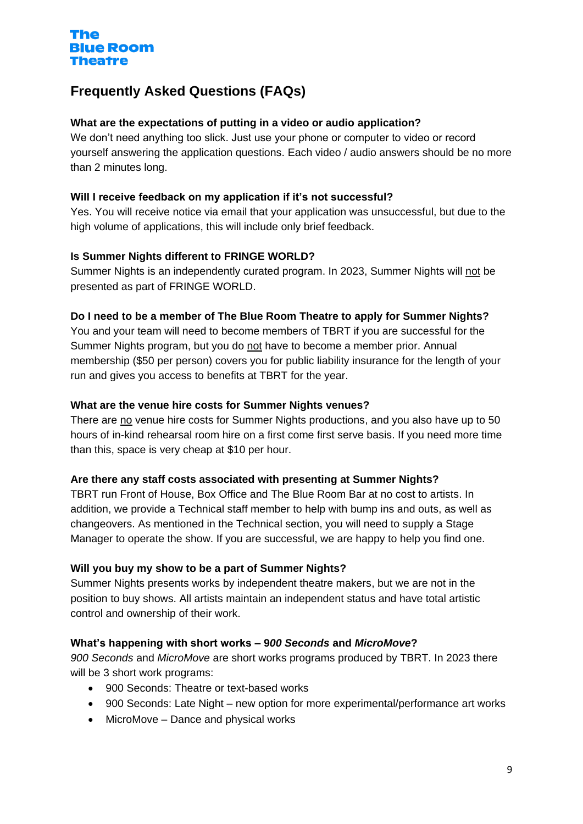## **Frequently Asked Questions (FAQs)**

## **What are the expectations of putting in a video or audio application?**

We don't need anything too slick. Just use your phone or computer to video or record yourself answering the application questions. Each video / audio answers should be no more than 2 minutes long.

## **Will I receive feedback on my application if it's not successful?**

Yes. You will receive notice via email that your application was unsuccessful, but due to the high volume of applications, this will include only brief feedback.

## **Is Summer Nights different to FRINGE WORLD?**

Summer Nights is an independently curated program. In 2023, Summer Nights will not be presented as part of FRINGE WORLD.

#### **Do I need to be a member of The Blue Room Theatre to apply for Summer Nights?**

You and your team will need to become members of TBRT if you are successful for the Summer Nights program, but you do not have to become a member prior. Annual membership (\$50 per person) covers you for public liability insurance for the length of your run and gives you access to benefits at TBRT for the year.

#### **What are the venue hire costs for Summer Nights venues?**

There are no venue hire costs for Summer Nights productions, and you also have up to 50 hours of in-kind rehearsal room hire on a first come first serve basis. If you need more time than this, space is very cheap at \$10 per hour.

#### **Are there any staff costs associated with presenting at Summer Nights?**

TBRT run Front of House, Box Office and The Blue Room Bar at no cost to artists. In addition, we provide a Technical staff member to help with bump ins and outs, as well as changeovers. As mentioned in the Technical section, you will need to supply a Stage Manager to operate the show. If you are successful, we are happy to help you find one.

## **Will you buy my show to be a part of Summer Nights?**

Summer Nights presents works by independent theatre makers, but we are not in the position to buy shows. All artists maintain an independent status and have total artistic control and ownership of their work.

## **What's happening with short works – 9***00 Seconds* **and** *MicroMove***?**

*900 Seconds* and *MicroMove* are short works programs produced by TBRT. In 2023 there will be 3 short work programs:

- 900 Seconds: Theatre or text-based works
- 900 Seconds: Late Night new option for more experimental/performance art works
- MicroMove Dance and physical works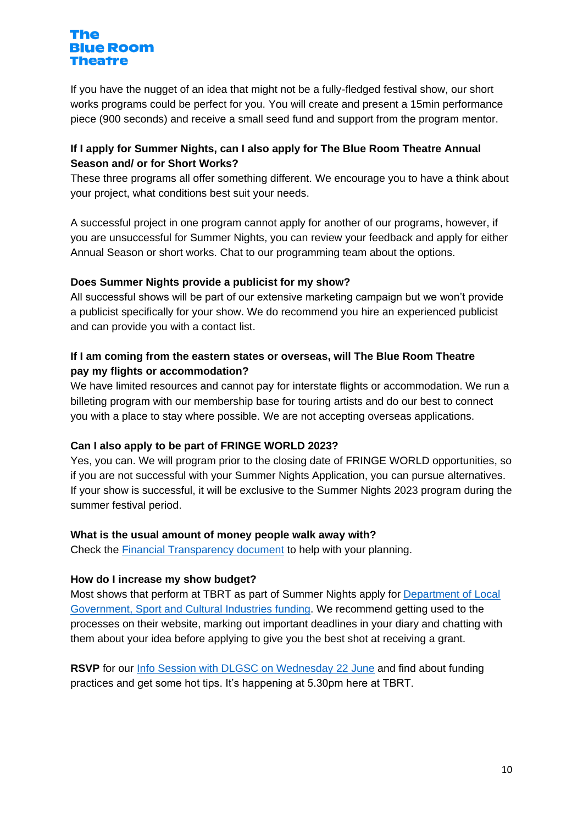If you have the nugget of an idea that might not be a fully-fledged festival show, our short works programs could be perfect for you. You will create and present a 15min performance piece (900 seconds) and receive a small seed fund and support from the program mentor.

## **If I apply for Summer Nights, can I also apply for The Blue Room Theatre Annual Season and/ or for Short Works?**

These three programs all offer something different. We encourage you to have a think about your project, what conditions best suit your needs.

A successful project in one program cannot apply for another of our programs, however, if you are unsuccessful for Summer Nights, you can review your feedback and apply for either Annual Season or short works. Chat to our programming team about the options.

## **Does Summer Nights provide a publicist for my show?**

All successful shows will be part of our extensive marketing campaign but we won't provide a publicist specifically for your show. We do recommend you hire an experienced publicist and can provide you with a contact list.

## **If I am coming from the eastern states or overseas, will The Blue Room Theatre pay my flights or accommodation?**

We have limited resources and cannot pay for interstate flights or accommodation. We run a billeting program with our membership base for touring artists and do our best to connect you with a place to stay where possible. We are not accepting overseas applications.

## **Can I also apply to be part of FRINGE WORLD 2023?**

Yes, you can. We will program prior to the closing date of FRINGE WORLD opportunities, so if you are not successful with your Summer Nights Application, you can pursue alternatives. If your show is successful, it will be exclusive to the Summer Nights 2023 program during the summer festival period.

## **What is the usual amount of money people walk away with?**

Check the [Financial Transparency document](https://blueroom.org.au/wp-content/uploads/2023-Summer-Nights-Financial-Transparency.pdf) to help with your planning.

## **How do I increase my show budget?**

Most shows that perform at TBRT as part of Summer Nights apply for [Department of Local](https://www.dlgsc.wa.gov.au/funding/arts-funding)  [Government, Sport and Cultural Industries](https://www.dlgsc.wa.gov.au/funding/arts-funding) funding. We recommend getting used to the processes on their website, marking out important deadlines in your diary and chatting with them about your idea before applying to give you the best shot at receiving a grant.

**RSVP** for our [Info Session with DLGSC](https://tix.blueroom.org.au/Events/Funding-Info-Session-How-to-be-Successful) on Wednesday 22 June and find about funding practices and get some hot tips. It's happening at 5.30pm here at TBRT.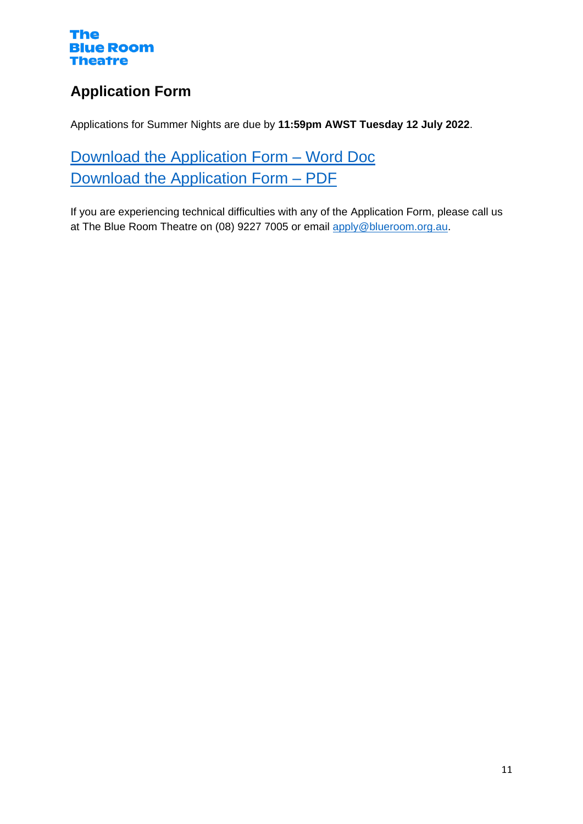## **Application Form**

Applications for Summer Nights are due by **11:59pm AWST Tuesday 12 July 2022**.

[Download the Application Form –](https://blueroom.org.au/wp-content/uploads/2023-Summer-Nights-Application-Form-Word.docx) Word Doc [Download the Application Form –](https://blueroom.org.au/wp-content/uploads/2023-Summer-Nights-Application-Form-PDF.pdf) PDF

If you are experiencing technical difficulties with any of the Application Form, please call us at The Blue Room Theatre on (08) 9227 7005 or email [apply@blueroom.org.au.](mailto:apply@blueroom.org.au)